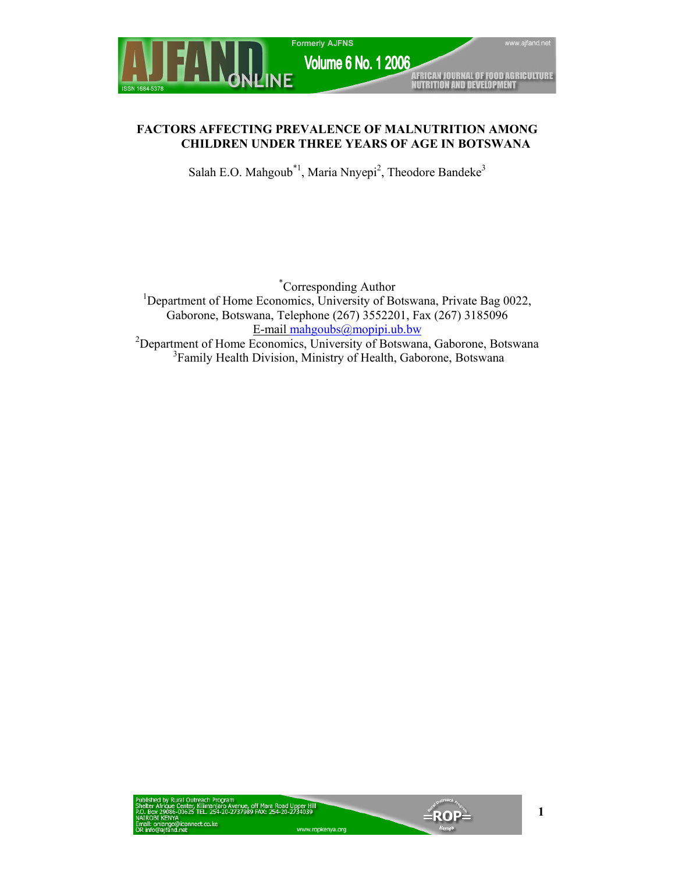

# **FACTORS AFFECTING PREVALENCE OF MALNUTRITION AMONG CHILDREN UNDER THREE YEARS OF AGE IN BOTSWANA**

Salah E.O. Mahgoub<sup>\*1</sup>, Maria Nnyepi<sup>2</sup>, Theodore Bandeke<sup>3</sup>

\* Corresponding Author <sup>1</sup>Department of Home Economics, University of Botswana, Private Bag 0022, Gaborone, Botswana, Telephone (267) 3552201, Fax (267) 3185096 E-mail mahgoubs@mopipi.ub.bw <sup>2</sup>Department of Home Economics, University of Botswana, Gaborone, Botswana <sup>3</sup>Family Health Division, Ministry of Health, Gaborone, Botswana

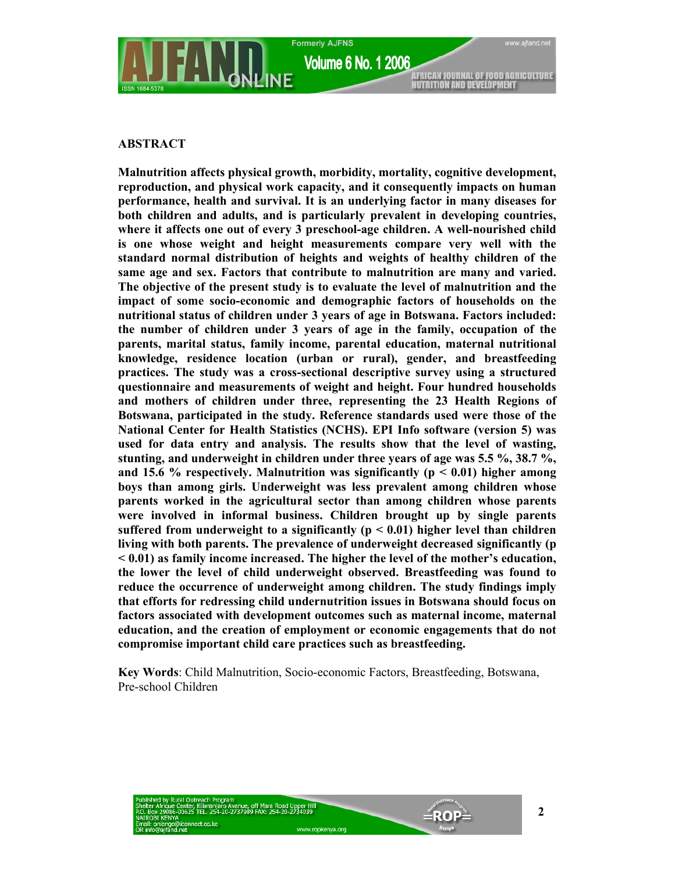

#### **ABSTRACT**

**Malnutrition affects physical growth, morbidity, mortality, cognitive development, reproduction, and physical work capacity, and it consequently impacts on human performance, health and survival. It is an underlying factor in many diseases for both children and adults, and is particularly prevalent in developing countries, where it affects one out of every 3 preschool-age children. A well-nourished child is one whose weight and height measurements compare very well with the standard normal distribution of heights and weights of healthy children of the same age and sex. Factors that contribute to malnutrition are many and varied. The objective of the present study is to evaluate the level of malnutrition and the impact of some socio-economic and demographic factors of households on the nutritional status of children under 3 years of age in Botswana. Factors included: the number of children under 3 years of age in the family, occupation of the parents, marital status, family income, parental education, maternal nutritional knowledge, residence location (urban or rural), gender, and breastfeeding practices. The study was a cross-sectional descriptive survey using a structured questionnaire and measurements of weight and height. Four hundred households and mothers of children under three, representing the 23 Health Regions of Botswana, participated in the study. Reference standards used were those of the National Center for Health Statistics (NCHS). EPI Info software (version 5) was used for data entry and analysis. The results show that the level of wasting, stunting, and underweight in children under three years of age was 5.5 %, 38.7 %, and 15.6 % respectively. Malnutrition was significantly (p < 0.01) higher among boys than among girls. Underweight was less prevalent among children whose parents worked in the agricultural sector than among children whose parents were involved in informal business. Children brought up by single parents suffered from underweight to a significantly (p < 0.01) higher level than children living with both parents. The prevalence of underweight decreased significantly (p < 0.01) as family income increased. The higher the level of the mother's education, the lower the level of child underweight observed. Breastfeeding was found to reduce the occurrence of underweight among children. The study findings imply that efforts for redressing child undernutrition issues in Botswana should focus on factors associated with development outcomes such as maternal income, maternal education, and the creation of employment or economic engagements that do not compromise important child care practices such as breastfeeding.** 

**Key Words**: Child Malnutrition, Socio-economic Factors, Breastfeeding, Botswana, Pre-school Children

20 E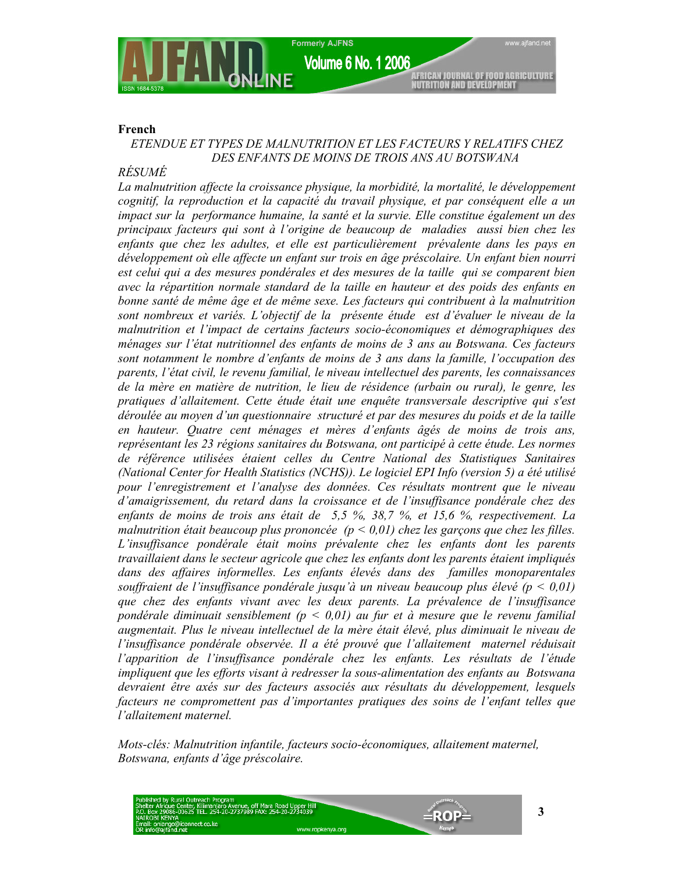

#### **French**

#### *ETENDUE ET TYPES DE MALNUTRITION ET LES FACTEURS Y RELATIFS CHEZ DES ENFANTS DE MOINS DE TROIS ANS AU BOTSWANA*

# *RÉSUMÉ*

La malnutrition affecte la croissance physique, la morbidité, la mortalité, le développement *cognitif, la reproduction et la capacité du travail physique, et par conséquent elle a un impact sur la performance humaine, la santé et la survie. Elle constitue également un des principaux facteurs qui sont à l'origine de beaucoup de maladies aussi bien chez les enfants que chez les adultes, et elle est particulièrement prévalente dans les pays en développement où elle affecte un enfant sur trois en âge préscolaire. Un enfant bien nourri est celui qui a des mesures pondérales et des mesures de la taille qui se comparent bien avec la répartition normale standard de la taille en hauteur et des poids des enfants en bonne santé de même âge et de même sexe. Les facteurs qui contribuent à la malnutrition sont nombreux et variés. L'objectif de la présente étude est d'évaluer le niveau de la malnutrition et l'impact de certains facteurs socio-économiques et démographiques des ménages sur l'état nutritionnel des enfants de moins de 3 ans au Botswana. Ces facteurs sont notamment le nombre d'enfants de moins de 3 ans dans la famille, l'occupation des parents, l'état civil, le revenu familial, le niveau intellectuel des parents, les connaissances de la mère en matière de nutrition, le lieu de résidence (urbain ou rural), le genre, les pratiques d'allaitement. Cette étude était une enquête transversale descriptive qui s'est déroulée au moyen d'un questionnaire structuré et par des mesures du poids et de la taille en hauteur. Quatre cent ménages et mères d'enfants âgés de moins de trois ans, représentant les 23 régions sanitaires du Botswana, ont participé à cette étude. Les normes de référence utilisées étaient celles du Centre National des Statistiques Sanitaires (National Center for Health Statistics (NCHS)). Le logiciel EPI Info (version 5) a été utilisé pour l'enregistrement et l'analyse des données. Ces résultats montrent que le niveau d'amaigrissement, du retard dans la croissance et de l'insuffisance pondérale chez des enfants de moins de trois ans était de 5,5 %, 38,7 %, et 15,6 %, respectivement. La malnutrition était beaucoup plus prononcée (p < 0,01) chez les garçons que chez les filles. L'insuffisance pondérale était moins prévalente chez les enfants dont les parents travaillaient dans le secteur agricole que chez les enfants dont les parents étaient impliqués dans des affaires informelles. Les enfants élevés dans des familles monoparentales souffraient de l'insuffisance pondérale jusqu'à un niveau beaucoup plus élevé (p < 0,01) que chez des enfants vivant avec les deux parents. La prévalence de l'insuffisance pondérale diminuait sensiblement (p < 0,01) au fur et à mesure que le revenu familial augmentait. Plus le niveau intellectuel de la mère était élevé, plus diminuait le niveau de l'insuffisance pondérale observée. Il a été prouvé que l'allaitement maternel réduisait l'apparition de l'insuffisance pondérale chez les enfants. Les résultats de l'étude impliquent que les efforts visant à redresser la sous-alimentation des enfants au Botswana devraient être axés sur des facteurs associés aux résultats du développement, lesquels facteurs ne compromettent pas d'importantes pratiques des soins de l'enfant telles que l'allaitement maternel.* 

*Mots-clés: Malnutrition infantile, facteurs socio-économiques, allaitement maternel, Botswana, enfants d'âge préscolaire.* 

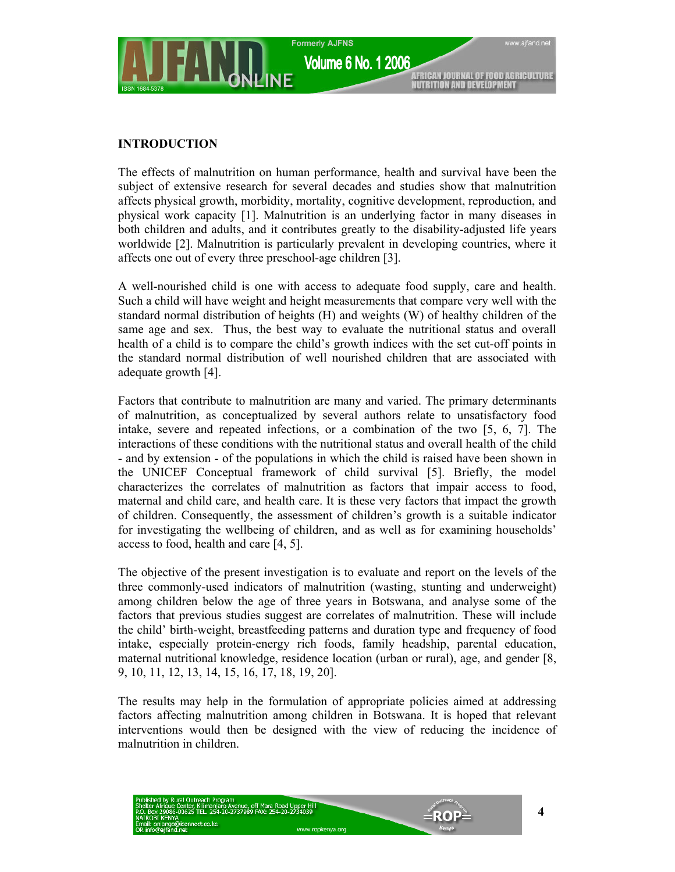

## **INTRODUCTION**

The effects of malnutrition on human performance, health and survival have been the subject of extensive research for several decades and studies show that malnutrition affects physical growth, morbidity, mortality, cognitive development, reproduction, and physical work capacity [1]. Malnutrition is an underlying factor in many diseases in both children and adults, and it contributes greatly to the disability-adjusted life years worldwide [2]. Malnutrition is particularly prevalent in developing countries, where it affects one out of every three preschool-age children [3].

A well-nourished child is one with access to adequate food supply, care and health. Such a child will have weight and height measurements that compare very well with the standard normal distribution of heights (H) and weights (W) of healthy children of the same age and sex. Thus, the best way to evaluate the nutritional status and overall health of a child is to compare the child's growth indices with the set cut-off points in the standard normal distribution of well nourished children that are associated with adequate growth [4].

Factors that contribute to malnutrition are many and varied. The primary determinants of malnutrition, as conceptualized by several authors relate to unsatisfactory food intake, severe and repeated infections, or a combination of the two [5, 6, 7]. The interactions of these conditions with the nutritional status and overall health of the child - and by extension - of the populations in which the child is raised have been shown in the UNICEF Conceptual framework of child survival [5]. Briefly, the model characterizes the correlates of malnutrition as factors that impair access to food, maternal and child care, and health care. It is these very factors that impact the growth of children. Consequently, the assessment of children's growth is a suitable indicator for investigating the wellbeing of children, and as well as for examining households' access to food, health and care [4, 5].

The objective of the present investigation is to evaluate and report on the levels of the three commonly-used indicators of malnutrition (wasting, stunting and underweight) among children below the age of three years in Botswana, and analyse some of the factors that previous studies suggest are correlates of malnutrition. These will include the child' birth-weight, breastfeeding patterns and duration type and frequency of food intake, especially protein-energy rich foods, family headship, parental education, maternal nutritional knowledge, residence location (urban or rural), age, and gender [8, 9, 10, 11, 12, 13, 14, 15, 16, 17, 18, 19, 20].

The results may help in the formulation of appropriate policies aimed at addressing factors affecting malnutrition among children in Botswana. It is hoped that relevant interventions would then be designed with the view of reducing the incidence of malnutrition in children.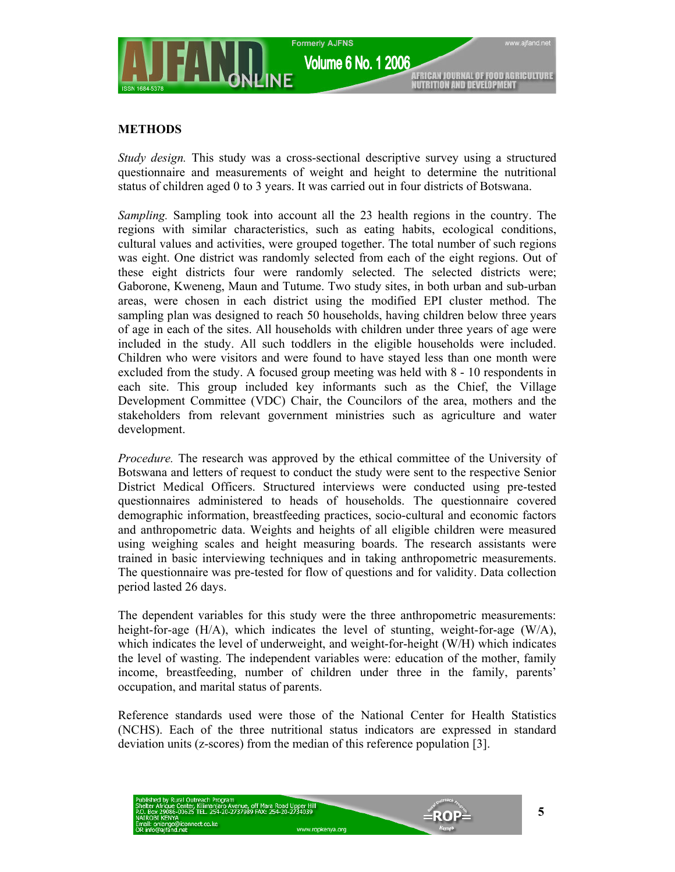

# **METHODS**

*Study design.* This study was a cross-sectional descriptive survey using a structured questionnaire and measurements of weight and height to determine the nutritional status of children aged 0 to 3 years. It was carried out in four districts of Botswana.

*Sampling.* Sampling took into account all the 23 health regions in the country. The regions with similar characteristics, such as eating habits, ecological conditions, cultural values and activities, were grouped together. The total number of such regions was eight. One district was randomly selected from each of the eight regions. Out of these eight districts four were randomly selected. The selected districts were; Gaborone, Kweneng, Maun and Tutume. Two study sites, in both urban and sub-urban areas, were chosen in each district using the modified EPI cluster method. The sampling plan was designed to reach 50 households, having children below three years of age in each of the sites. All households with children under three years of age were included in the study. All such toddlers in the eligible households were included. Children who were visitors and were found to have stayed less than one month were excluded from the study. A focused group meeting was held with 8 - 10 respondents in each site. This group included key informants such as the Chief, the Village Development Committee (VDC) Chair, the Councilors of the area, mothers and the stakeholders from relevant government ministries such as agriculture and water development.

*Procedure.* The research was approved by the ethical committee of the University of Botswana and letters of request to conduct the study were sent to the respective Senior District Medical Officers. Structured interviews were conducted using pre-tested questionnaires administered to heads of households. The questionnaire covered demographic information, breastfeeding practices, socio-cultural and economic factors and anthropometric data. Weights and heights of all eligible children were measured using weighing scales and height measuring boards. The research assistants were trained in basic interviewing techniques and in taking anthropometric measurements. The questionnaire was pre-tested for flow of questions and for validity. Data collection period lasted 26 days.

The dependent variables for this study were the three anthropometric measurements: height-for-age (H/A), which indicates the level of stunting, weight-for-age (W/A), which indicates the level of underweight, and weight-for-height (W/H) which indicates the level of wasting. The independent variables were: education of the mother, family income, breastfeeding, number of children under three in the family, parents' occupation, and marital status of parents.

Reference standards used were those of the National Center for Health Statistics (NCHS). Each of the three nutritional status indicators are expressed in standard deviation units (z-scores) from the median of this reference population [3].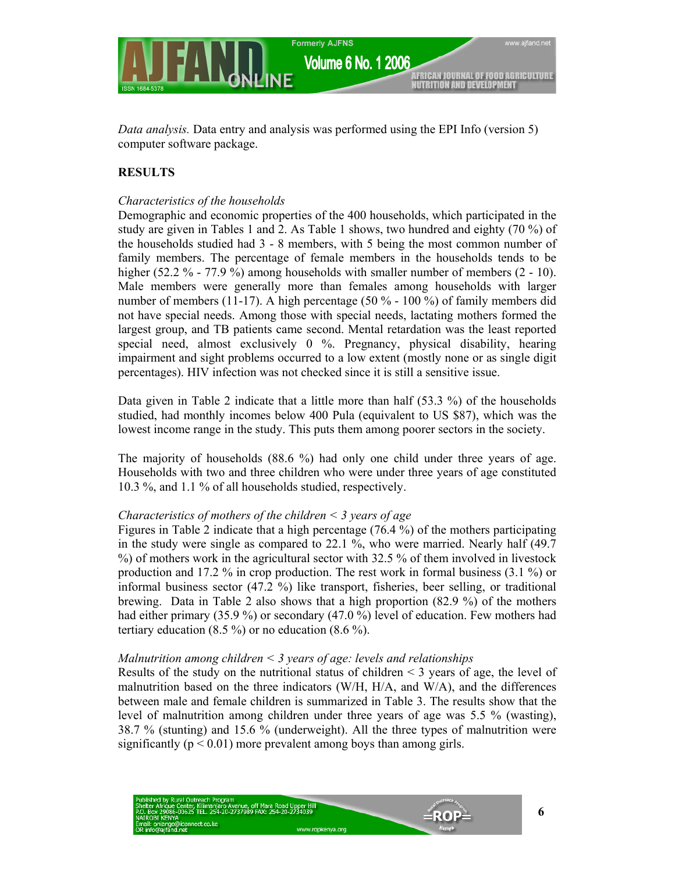

*Data analysis.* Data entry and analysis was performed using the EPI Info (version 5) computer software package.

# **RESULTS**

## *Characteristics of the households*

Demographic and economic properties of the 400 households, which participated in the study are given in Tables 1 and 2. As Table 1 shows, two hundred and eighty (70 %) of the households studied had 3 - 8 members, with 5 being the most common number of family members. The percentage of female members in the households tends to be higher (52.2 % - 77.9 %) among households with smaller number of members (2 - 10). Male members were generally more than females among households with larger number of members (11-17). A high percentage (50 % - 100 %) of family members did not have special needs. Among those with special needs, lactating mothers formed the largest group, and TB patients came second. Mental retardation was the least reported special need, almost exclusively 0 %. Pregnancy, physical disability, hearing impairment and sight problems occurred to a low extent (mostly none or as single digit percentages). HIV infection was not checked since it is still a sensitive issue.

Data given in Table 2 indicate that a little more than half  $(53.3\%)$  of the households studied, had monthly incomes below 400 Pula (equivalent to US \$87), which was the lowest income range in the study. This puts them among poorer sectors in the society.

The majority of households (88.6 %) had only one child under three years of age. Households with two and three children who were under three years of age constituted 10.3 %, and 1.1 % of all households studied, respectively.

#### *Characteristics of mothers of the children < 3 years of age*

Figures in Table 2 indicate that a high percentage (76.4 %) of the mothers participating in the study were single as compared to 22.1 %, who were married. Nearly half (49.7 %) of mothers work in the agricultural sector with 32.5 % of them involved in livestock production and 17.2 % in crop production. The rest work in formal business (3.1 %) or informal business sector (47.2 %) like transport, fisheries, beer selling, or traditional brewing. Data in Table 2 also shows that a high proportion (82.9 %) of the mothers had either primary (35.9 %) or secondary (47.0 %) level of education. Few mothers had tertiary education  $(8.5 \%)$  or no education  $(8.6 \%)$ .

#### *Malnutrition among children < 3 years of age: levels and relationships*

Results of the study on the nutritional status of children  $\leq$  3 years of age, the level of malnutrition based on the three indicators  $(W/H, H/A,$  and  $W/A$ ), and the differences between male and female children is summarized in Table 3. The results show that the level of malnutrition among children under three years of age was 5.5 % (wasting), 38.7 % (stunting) and 15.6 % (underweight). All the three types of malnutrition were significantly ( $p < 0.01$ ) more prevalent among boys than among girls.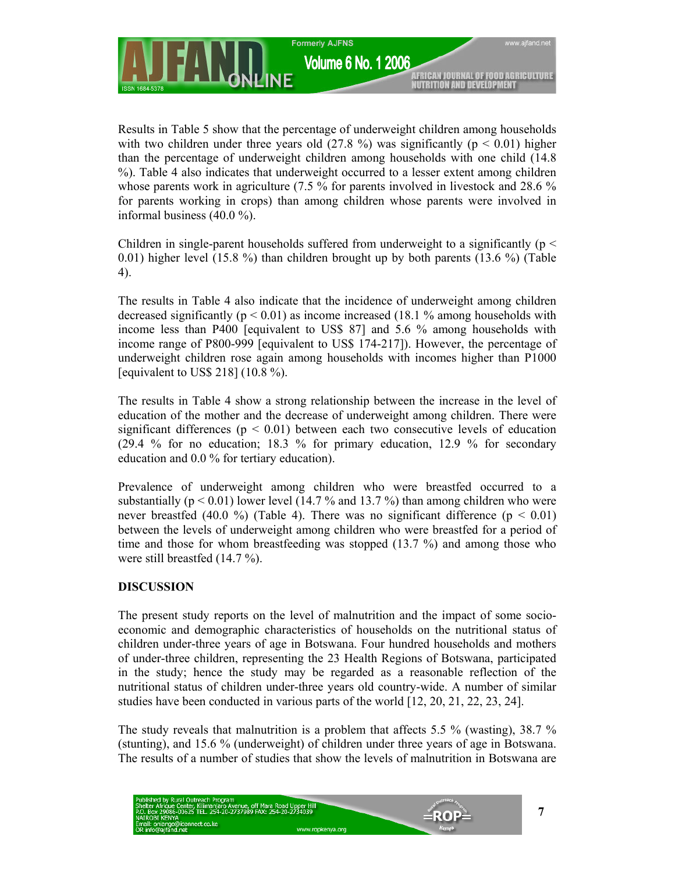

Results in Table 5 show that the percentage of underweight children among households with two children under three years old  $(27.8\%)$  was significantly  $(p < 0.01)$  higher than the percentage of underweight children among households with one child (14.8 %). Table 4 also indicates that underweight occurred to a lesser extent among children whose parents work in agriculture (7.5 % for parents involved in livestock and 28.6 % for parents working in crops) than among children whose parents were involved in informal business (40.0 %).

Children in single-parent households suffered from underweight to a significantly ( $p <$ 0.01) higher level (15.8 %) than children brought up by both parents (13.6 %) (Table 4).

The results in Table 4 also indicate that the incidence of underweight among children decreased significantly ( $p < 0.01$ ) as income increased (18.1 % among households with income less than P400 [equivalent to US\$ 87] and 5.6 % among households with income range of P800-999 [equivalent to US\$ 174-217]). However, the percentage of underweight children rose again among households with incomes higher than P1000 [equivalent to US\$ 218] (10.8 %).

The results in Table 4 show a strong relationship between the increase in the level of education of the mother and the decrease of underweight among children. There were significant differences ( $p < 0.01$ ) between each two consecutive levels of education (29.4 % for no education; 18.3 % for primary education, 12.9 % for secondary education and 0.0 % for tertiary education).

Prevalence of underweight among children who were breastfed occurred to a substantially ( $p < 0.01$ ) lower level (14.7 % and 13.7 %) than among children who were never breastfed (40.0 %) (Table 4). There was no significant difference ( $p < 0.01$ ) between the levels of underweight among children who were breastfed for a period of time and those for whom breastfeeding was stopped (13.7 %) and among those who were still breastfed (14.7 %).

## **DISCUSSION**

The present study reports on the level of malnutrition and the impact of some socioeconomic and demographic characteristics of households on the nutritional status of children under-three years of age in Botswana. Four hundred households and mothers of under-three children, representing the 23 Health Regions of Botswana, participated in the study; hence the study may be regarded as a reasonable reflection of the nutritional status of children under-three years old country-wide. A number of similar studies have been conducted in various parts of the world [12, 20, 21, 22, 23, 24].

The study reveals that malnutrition is a problem that affects 5.5 % (wasting), 38.7 % (stunting), and 15.6 % (underweight) of children under three years of age in Botswana. The results of a number of studies that show the levels of malnutrition in Botswana are

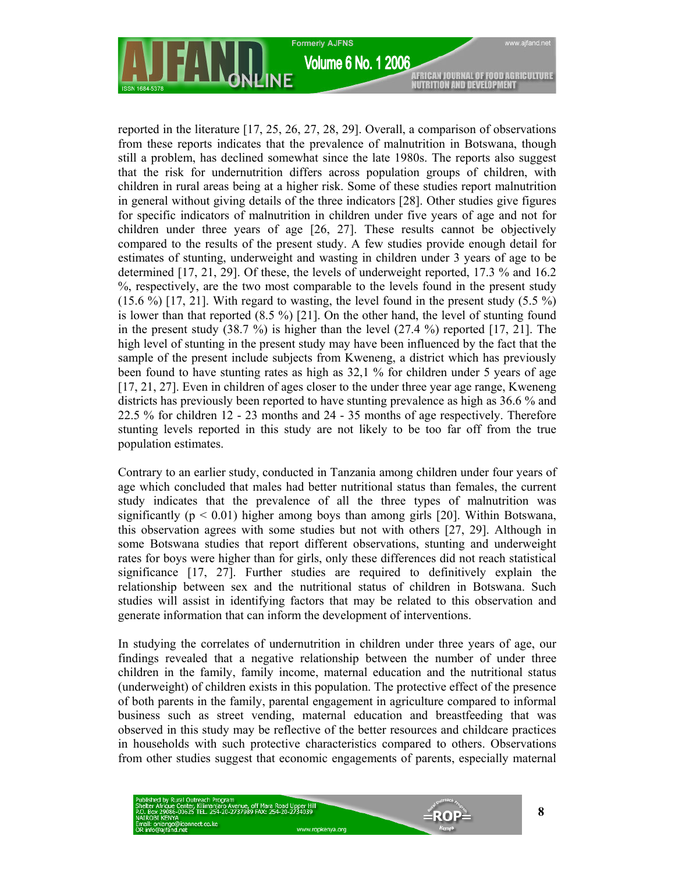

reported in the literature [17, 25, 26, 27, 28, 29]. Overall, a comparison of observations from these reports indicates that the prevalence of malnutrition in Botswana, though still a problem, has declined somewhat since the late 1980s. The reports also suggest that the risk for undernutrition differs across population groups of children, with children in rural areas being at a higher risk. Some of these studies report malnutrition in general without giving details of the three indicators [28]. Other studies give figures for specific indicators of malnutrition in children under five years of age and not for children under three years of age [26, 27]. These results cannot be objectively compared to the results of the present study. A few studies provide enough detail for estimates of stunting, underweight and wasting in children under 3 years of age to be determined [17, 21, 29]. Of these, the levels of underweight reported, 17.3 % and 16.2 %, respectively, are the two most comparable to the levels found in the present study  $(15.6\%)$  [17, 21]. With regard to wasting, the level found in the present study  $(5.5\%)$ is lower than that reported (8.5 %) [21]. On the other hand, the level of stunting found in the present study  $(38.7\%)$  is higher than the level  $(27.4\%)$  reported  $[17, 21]$ . The high level of stunting in the present study may have been influenced by the fact that the sample of the present include subjects from Kweneng, a district which has previously been found to have stunting rates as high as 32,1 % for children under 5 years of age [17, 21, 27]. Even in children of ages closer to the under three year age range, Kweneng districts has previously been reported to have stunting prevalence as high as 36.6 % and 22.5 % for children 12 - 23 months and 24 - 35 months of age respectively. Therefore stunting levels reported in this study are not likely to be too far off from the true population estimates.

Contrary to an earlier study, conducted in Tanzania among children under four years of age which concluded that males had better nutritional status than females, the current study indicates that the prevalence of all the three types of malnutrition was significantly ( $p < 0.01$ ) higher among boys than among girls [20]. Within Botswana, this observation agrees with some studies but not with others [27, 29]. Although in some Botswana studies that report different observations, stunting and underweight rates for boys were higher than for girls, only these differences did not reach statistical significance [17, 27]. Further studies are required to definitively explain the relationship between sex and the nutritional status of children in Botswana. Such studies will assist in identifying factors that may be related to this observation and generate information that can inform the development of interventions.

In studying the correlates of undernutrition in children under three years of age, our findings revealed that a negative relationship between the number of under three children in the family, family income, maternal education and the nutritional status (underweight) of children exists in this population. The protective effect of the presence of both parents in the family, parental engagement in agriculture compared to informal business such as street vending, maternal education and breastfeeding that was observed in this study may be reflective of the better resources and childcare practices in households with such protective characteristics compared to others. Observations from other studies suggest that economic engagements of parents, especially maternal

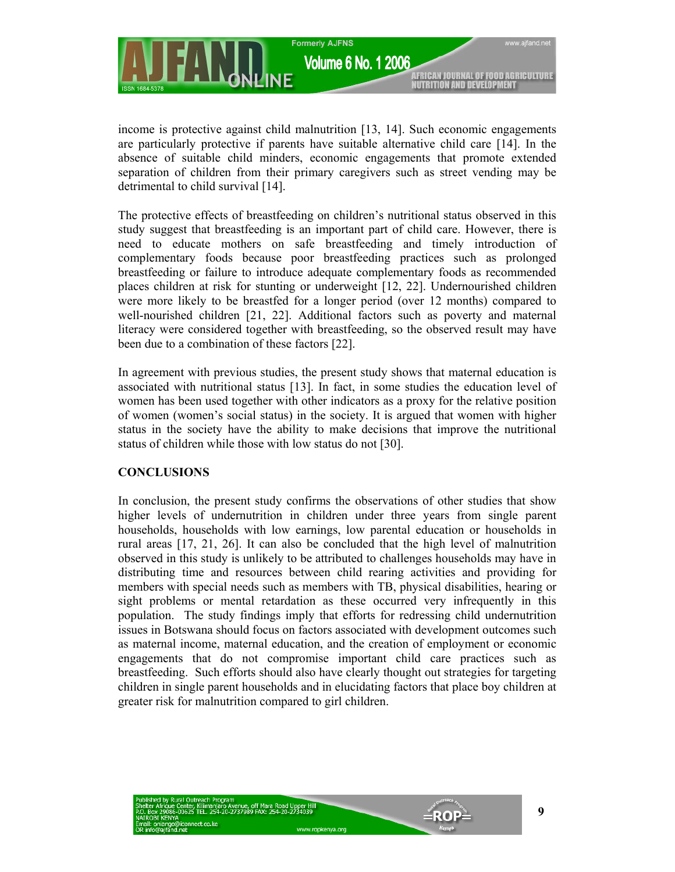

income is protective against child malnutrition [13, 14]. Such economic engagements are particularly protective if parents have suitable alternative child care [14]. In the absence of suitable child minders, economic engagements that promote extended separation of children from their primary caregivers such as street vending may be detrimental to child survival [14].

The protective effects of breastfeeding on children's nutritional status observed in this study suggest that breastfeeding is an important part of child care. However, there is need to educate mothers on safe breastfeeding and timely introduction of complementary foods because poor breastfeeding practices such as prolonged breastfeeding or failure to introduce adequate complementary foods as recommended places children at risk for stunting or underweight [12, 22]. Undernourished children were more likely to be breastfed for a longer period (over 12 months) compared to well-nourished children [21, 22]. Additional factors such as poverty and maternal literacy were considered together with breastfeeding, so the observed result may have been due to a combination of these factors [22].

In agreement with previous studies, the present study shows that maternal education is associated with nutritional status [13]. In fact, in some studies the education level of women has been used together with other indicators as a proxy for the relative position of women (women's social status) in the society. It is argued that women with higher status in the society have the ability to make decisions that improve the nutritional status of children while those with low status do not [30].

## **CONCLUSIONS**

In conclusion, the present study confirms the observations of other studies that show higher levels of undernutrition in children under three years from single parent households, households with low earnings, low parental education or households in rural areas [17, 21, 26]. It can also be concluded that the high level of malnutrition observed in this study is unlikely to be attributed to challenges households may have in distributing time and resources between child rearing activities and providing for members with special needs such as members with TB, physical disabilities, hearing or sight problems or mental retardation as these occurred very infrequently in this population. The study findings imply that efforts for redressing child undernutrition issues in Botswana should focus on factors associated with development outcomes such as maternal income, maternal education, and the creation of employment or economic engagements that do not compromise important child care practices such as breastfeeding. Such efforts should also have clearly thought out strategies for targeting children in single parent households and in elucidating factors that place boy children at greater risk for malnutrition compared to girl children.



ROE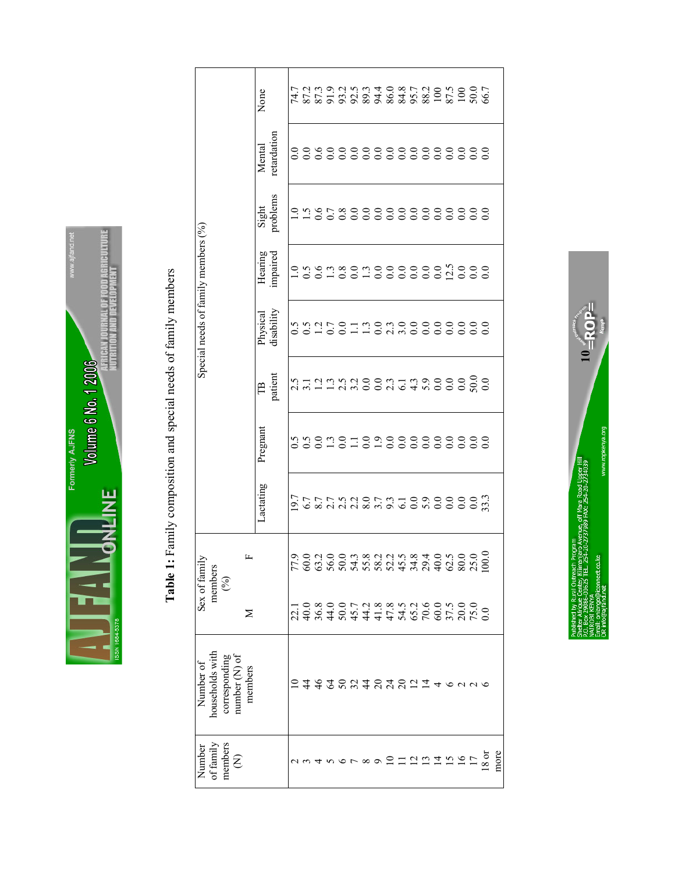NFRICAN JOURNAL OF FOOD AGRICULTURE<br>NUTRITION AND DEVELOPMENT www.ajfand.net **TINGHERE** Volume 6 No. 1 2006 Formerly AJFNS  $\frac{1}{2}$ ISSN 1684-5378

# Table 1: Family composition and special needs of family members **Table 1:** Family composition and special needs of family members

|                                                                           | None                   |  |  |                                                                   |  |  |  |  |  |  |      |
|---------------------------------------------------------------------------|------------------------|--|--|-------------------------------------------------------------------|--|--|--|--|--|--|------|
|                                                                           | retardation<br>Mental  |  |  |                                                                   |  |  |  |  |  |  |      |
|                                                                           | problems<br>Sight      |  |  |                                                                   |  |  |  |  |  |  |      |
|                                                                           | Hearing<br>impaired    |  |  | 18918919999991999                                                 |  |  |  |  |  |  |      |
| Special needs of family members $(96)$                                    | disability<br>Physical |  |  | 5525011034200000000                                               |  |  |  |  |  |  |      |
|                                                                           | patient<br>FB          |  |  | 113330031430000000                                                |  |  |  |  |  |  |      |
|                                                                           | Pregnant               |  |  | 998181820888888888                                                |  |  |  |  |  |  |      |
|                                                                           | Lactating              |  |  | n<br>Sownanwang panooooon<br>Sownanwang panoooon                  |  |  |  |  |  |  |      |
| Sex of family<br>members<br>$(9/6)$                                       |                        |  |  |                                                                   |  |  |  |  |  |  |      |
| z                                                                         |                        |  |  | 1080001088910901000<br>10845644444866670100<br>108000108891090100 |  |  |  |  |  |  |      |
| households with<br>number (N) of<br>corresponding<br>Number of<br>members |                        |  |  | f 2034 S 4 9 5 7 7                                                |  |  |  |  |  |  |      |
| of family<br>members<br>$(N)$<br>Number                                   |                        |  |  |                                                                   |  |  |  |  |  |  | more |

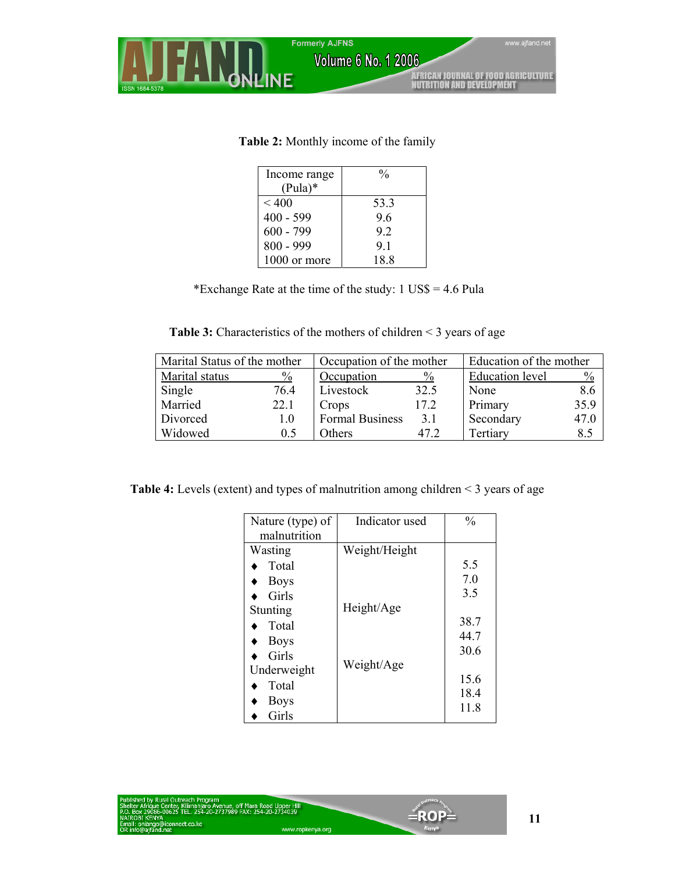# **Table 2:** Monthly income of the family

| Income range | $\frac{0}{0}$ |
|--------------|---------------|
| $(Pula)*$    |               |
| < 400        | 533           |
| $400 - 599$  | 96            |
| $600 - 799$  | 92            |
| $800 - 999$  | 91            |
| 1000 or more | 18.8          |

\*Exchange Rate at the time of the study: 1 US\$ = 4.6 Pula

|  | <b>Table 3:</b> Characteristics of the mothers of children $\leq$ 3 years of age |  |
|--|----------------------------------------------------------------------------------|--|
|  |                                                                                  |  |

| Marital Status of the mother |               | Occupation of the mother |      | Education of the mother |               |  |
|------------------------------|---------------|--------------------------|------|-------------------------|---------------|--|
| Marital status               | $\frac{0}{0}$ | Occupation               | $\%$ | <b>Education</b> level  | $\frac{0}{0}$ |  |
| Single                       | 76.4          | Livestock                | 32.5 | None                    | 8.6           |  |
| Married                      | 22.1          | Crops                    | 17.2 | Primary                 | 35.9          |  |
| Divorced                     | 1.0           | <b>Formal Business</b>   | 3.1  | Secondary               | 47.0          |  |
| Widowed                      | 0.5           | <b>Others</b>            | 47 2 | Tertiary                | 8.5           |  |

**Table 4:** Levels (extent) and types of malnutrition among children < 3 years of age

| Nature (type) of | Indicator used | $\frac{0}{0}$ |
|------------------|----------------|---------------|
| malnutrition     |                |               |
| Wasting          | Weight/Height  |               |
| Total            |                | 5.5           |
| <b>Boys</b>      |                | 7.0           |
| Girls            |                | 3.5           |
| Stunting         | Height/Age     |               |
| Total            |                | 38.7          |
| <b>Boys</b>      |                | 44.7          |
| Girls            |                | 30.6          |
| Underweight      | Weight/Age     |               |
| Total            |                | 15.6          |
| <b>Boys</b>      |                | 18.4          |
| Girls            |                | 11.8          |

≟ROP–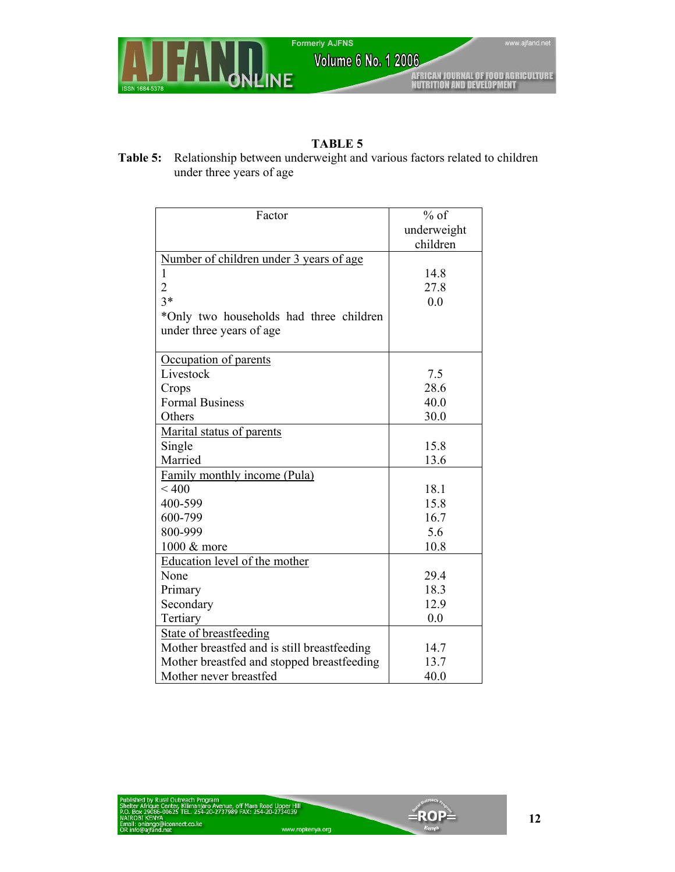

# **TABLE 5**

**Table 5:** Relationship between underweight and various factors related to children under three years of age

| Factor                                      | $%$ of      |  |  |  |
|---------------------------------------------|-------------|--|--|--|
|                                             | underweight |  |  |  |
|                                             | children    |  |  |  |
|                                             |             |  |  |  |
| Number of children under 3 years of age     |             |  |  |  |
| 1                                           | 14.8        |  |  |  |
| $\overline{2}$                              | 27.8        |  |  |  |
| $3*$                                        | 0.0         |  |  |  |
| *Only two households had three children     |             |  |  |  |
| under three years of age                    |             |  |  |  |
|                                             |             |  |  |  |
| Occupation of parents                       |             |  |  |  |
| Livestock                                   | 7.5         |  |  |  |
| Crops                                       | 28.6        |  |  |  |
| <b>Formal Business</b>                      | 40.0        |  |  |  |
| Others                                      | 30.0        |  |  |  |
| Marital status of parents                   |             |  |  |  |
| Single                                      | 15.8        |  |  |  |
| Married                                     | 13.6        |  |  |  |
| Family monthly income (Pula)                |             |  |  |  |
| ${}_{< 400}$                                | 18.1        |  |  |  |
| 400-599                                     | 15.8        |  |  |  |
| 600-799                                     | 16.7        |  |  |  |
| 800-999                                     | 5.6         |  |  |  |
| 1000 & more                                 | 10.8        |  |  |  |
| Education level of the mother               |             |  |  |  |
| None                                        | 29.4        |  |  |  |
| Primary                                     | 18.3        |  |  |  |
| Secondary                                   | 12.9        |  |  |  |
| Tertiary                                    | 0.0         |  |  |  |
| State of breastfeeding                      |             |  |  |  |
| Mother breastfed and is still breastfeeding | 14.7        |  |  |  |
| Mother breastfed and stopped breastfeeding  | 13.7        |  |  |  |
| Mother never breastfed                      | 40.0        |  |  |  |

 $\stackrel{\sim}{=}$ ROP $\stackrel{\sim}{=}$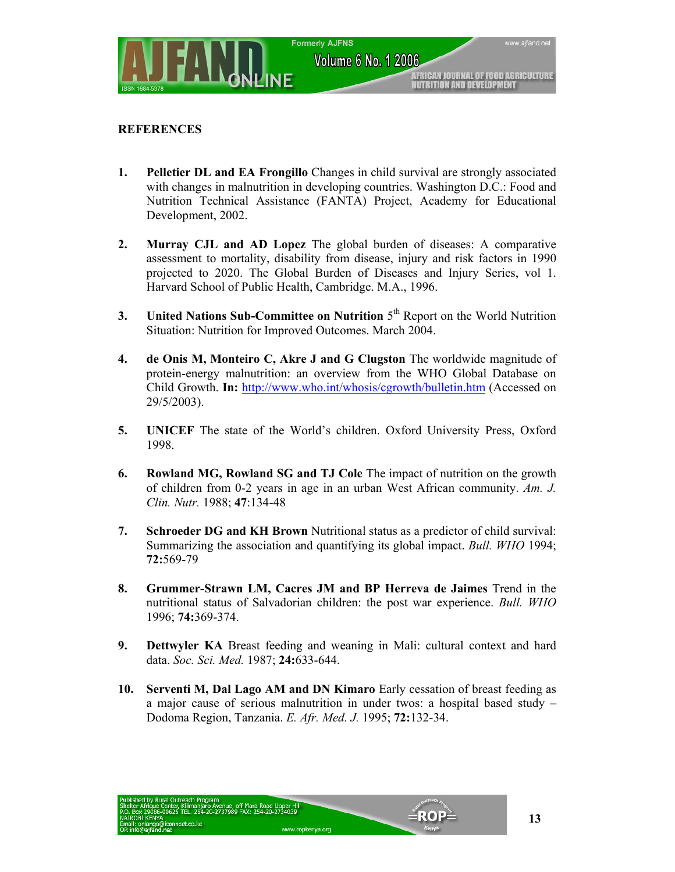

## **REFERENCES**

- **1. Pelletier DL and EA Frongillo** Changes in child survival are strongly associated with changes in malnutrition in developing countries. Washington D.C.: Food and Nutrition Technical Assistance (FANTA) Project, Academy for Educational Development, 2002.
- **2. Murray CJL and AD Lopez** The global burden of diseases: A comparative assessment to mortality, disability from disease, injury and risk factors in 1990 projected to 2020. The Global Burden of Diseases and Injury Series, vol 1. Harvard School of Public Health, Cambridge. M.A., 1996.
- **3.** United Nations Sub-Committee on Nutrition 5<sup>th</sup> Report on the World Nutrition Situation: Nutrition for Improved Outcomes. March 2004.
- **4. de Onis M, Monteiro C, Akre J and G Clugston** The worldwide magnitude of protein-energy malnutrition: an overview from the WHO Global Database on Child Growth. **In:** http://www.who.int/whosis/cgrowth/bulletin.htm (Accessed on 29/5/2003).
- **5. UNICEF** The state of the World's children. Oxford University Press, Oxford 1998.
- **6. Rowland MG, Rowland SG and TJ Cole** The impact of nutrition on the growth of children from 0-2 years in age in an urban West African community. *Am. J. Clin. Nutr.* 1988; **47**:134-48
- **7. Schroeder DG and KH Brown** Nutritional status as a predictor of child survival: Summarizing the association and quantifying its global impact. *Bull. WHO* 1994; **72:**569-79
- **8. Grummer-Strawn LM, Cacres JM and BP Herreva de Jaimes** Trend in the nutritional status of Salvadorian children: the post war experience. *Bull. WHO* 1996; **74:**369-374.
- **9. Dettwyler KA** Breast feeding and weaning in Mali: cultural context and hard data. *Soc. Sci. Med.* 1987; **24:**633-644.
- **10. Serventi M, Dal Lago AM and DN Kimaro** Early cessation of breast feeding as a major cause of serious malnutrition in under twos: a hospital based study – Dodoma Region, Tanzania. *E. Afr. Med. J.* 1995; **72:**132-34.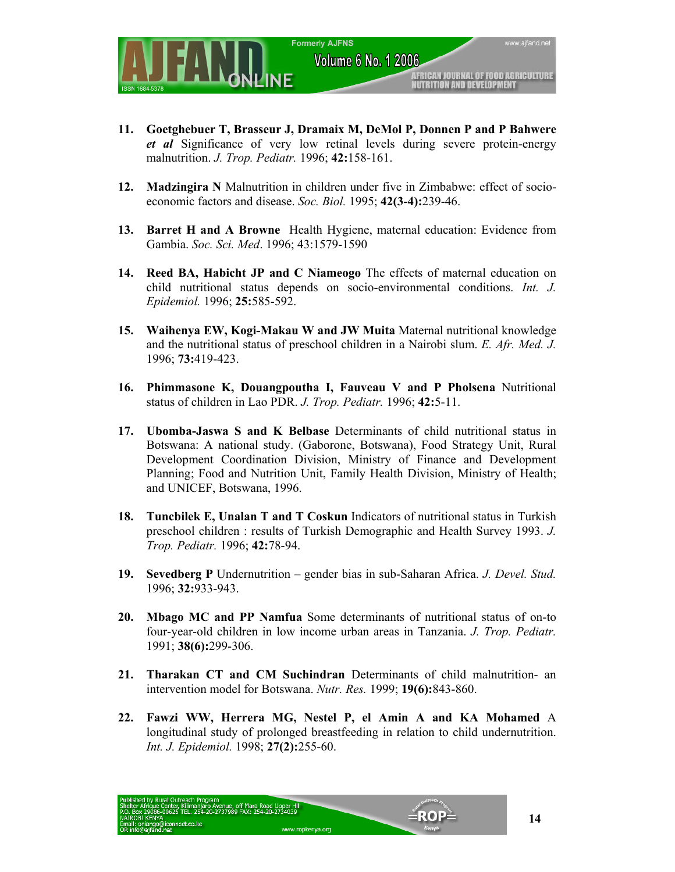

- **11. Goetghebuer T, Brasseur J, Dramaix M, DeMol P, Donnen P and P Bahwere**  *et al* Significance of very low retinal levels during severe protein-energy malnutrition. *J. Trop. Pediatr.* 1996; **42:**158-161.
- **12. Madzingira N** Malnutrition in children under five in Zimbabwe: effect of socioeconomic factors and disease. *Soc. Biol.* 1995; **42(3-4):**239-46.
- **13. Barret H and A Browne** Health Hygiene, maternal education: Evidence from Gambia. *Soc. Sci. Med*. 1996; 43:1579-1590
- **14. Reed BA, Habicht JP and C Niameogo** The effects of maternal education on child nutritional status depends on socio-environmental conditions. *Int. J. Epidemiol.* 1996; **25:**585-592.
- **15. Waihenya EW, Kogi-Makau W and JW Muita** Maternal nutritional knowledge and the nutritional status of preschool children in a Nairobi slum. *E. Afr. Med. J.* 1996; **73:**419-423.
- **16. Phimmasone K, Douangpoutha I, Fauveau V and P Pholsena** Nutritional status of children in Lao PDR. *J. Trop. Pediatr.* 1996; **42:**5-11.
- **17. Ubomba-Jaswa S and K Belbase** Determinants of child nutritional status in Botswana: A national study. (Gaborone, Botswana), Food Strategy Unit, Rural Development Coordination Division, Ministry of Finance and Development Planning; Food and Nutrition Unit, Family Health Division, Ministry of Health; and UNICEF, Botswana, 1996.
- **18. Tuncbilek E, Unalan T and T Coskun** Indicators of nutritional status in Turkish preschool children : results of Turkish Demographic and Health Survey 1993. *J. Trop. Pediatr.* 1996; **42:**78-94.
- **19. Sevedberg P** Undernutrition gender bias in sub-Saharan Africa. *J. Devel. Stud.* 1996; **32:**933-943.
- **20. Mbago MC and PP Namfua** Some determinants of nutritional status of on-to four-year-old children in low income urban areas in Tanzania. *J. Trop. Pediatr.* 1991; **38(6):**299-306.
- **21. Tharakan CT and CM Suchindran** Determinants of child malnutrition- an intervention model for Botswana. *Nutr. Res.* 1999; **19(6):**843-860.
- **22. Fawzi WW, Herrera MG, Nestel P, el Amin A and KA Mohamed** A longitudinal study of prolonged breastfeeding in relation to child undernutrition. *Int. J. Epidemiol.* 1998; **27(2):**255-60.